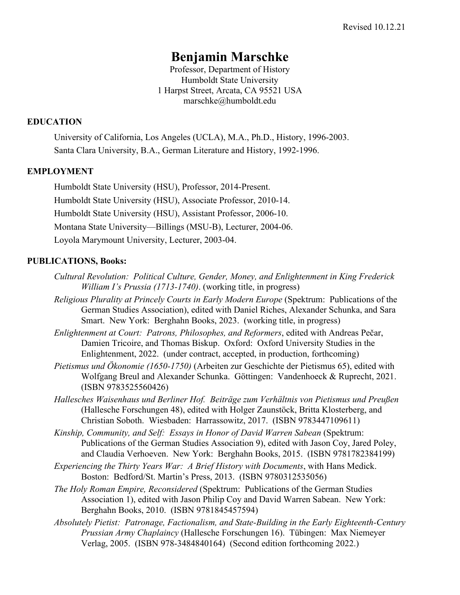# **Benjamin Marschke**

Professor, Department of History Humboldt State University 1 Harpst Street, Arcata, CA 95521 USA marschke@humboldt.edu

#### **EDUCATION**

University of California, Los Angeles (UCLA), M.A., Ph.D., History, 1996-2003. Santa Clara University, B.A., German Literature and History, 1992-1996.

#### **EMPLOYMENT**

Humboldt State University (HSU), Professor, 2014-Present. Humboldt State University (HSU), Associate Professor, 2010-14. Humboldt State University (HSU), Assistant Professor, 2006-10. Montana State University—Billings (MSU-B), Lecturer, 2004-06. Loyola Marymount University, Lecturer, 2003-04.

#### **PUBLICATIONS, Books:**

- *Cultural Revolution: Political Culture, Gender, Money, and Enlightenment in King Frederick William I's Prussia (1713-1740)*. (working title, in progress)
- *Religious Plurality at Princely Courts in Early Modern Europe* (Spektrum: Publications of the German Studies Association), edited with Daniel Riches, Alexander Schunka, and Sara Smart. New York: Berghahn Books, 2023. (working title, in progress)
- *Enlightenment at Court: Patrons, Philosophes, and Reformers*, edited with Andreas Pečar, Damien Tricoire, and Thomas Biskup. Oxford: Oxford University Studies in the Enlightenment, 2022. (under contract, accepted, in production, forthcoming)
- *Pietismus und Ökonomie (1650-1750)* (Arbeiten zur Geschichte der Pietismus 65), edited with Wolfgang Breul and Alexander Schunka. Göttingen: Vandenhoeck & Ruprecht, 2021. (ISBN 9783525560426)
- *Hallesches Waisenhaus und Berliner Hof. Beiträge zum Verhältnis von Pietismus und Preußen* (Hallesche Forschungen 48), edited with Holger Zaunstöck, Britta Klosterberg, and Christian Soboth. Wiesbaden: Harrassowitz, 2017. (ISBN 9783447109611)
- *Kinship, Community, and Self: Essays in Honor of David Warren Sabean* (Spektrum: Publications of the German Studies Association 9), edited with Jason Coy, Jared Poley, and Claudia Verhoeven. New York: Berghahn Books, 2015. (ISBN 9781782384199)
- *Experiencing the Thirty Years War: A Brief History with Documents*, with Hans Medick. Boston: Bedford/St. Martin's Press, 2013. (ISBN 9780312535056)
- *The Holy Roman Empire, Reconsidered* (Spektrum: Publications of the German Studies Association 1), edited with Jason Philip Coy and David Warren Sabean. New York: Berghahn Books, 2010. (ISBN 9781845457594)
- *Absolutely Pietist: Patronage, Factionalism, and State-Building in the Early Eighteenth-Century Prussian Army Chaplaincy* (Hallesche Forschungen 16). Tübingen: Max Niemeyer Verlag, 2005. (ISBN 978-3484840164) (Second edition forthcoming 2022.)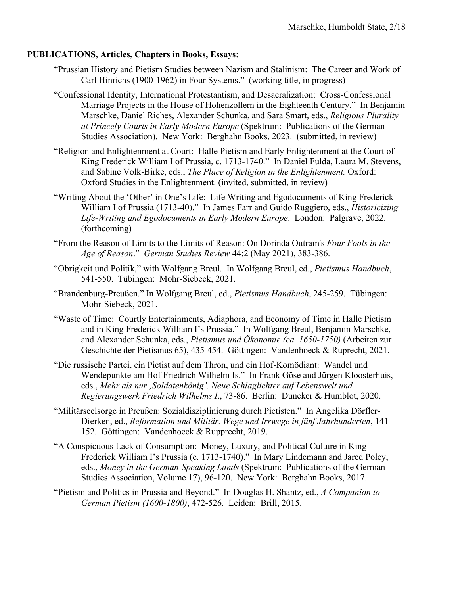# **PUBLICATIONS, Articles, Chapters in Books, Essays:**

- "Prussian History and Pietism Studies between Nazism and Stalinism: The Career and Work of Carl Hinrichs (1900-1962) in Four Systems." (working title, in progress)
- "Confessional Identity, International Protestantism, and Desacralization: Cross-Confessional Marriage Projects in the House of Hohenzollern in the Eighteenth Century." In Benjamin Marschke, Daniel Riches, Alexander Schunka, and Sara Smart, eds., *Religious Plurality at Princely Courts in Early Modern Europe* (Spektrum: Publications of the German Studies Association). New York: Berghahn Books, 2023. (submitted, in review)
- "Religion and Enlightenment at Court: Halle Pietism and Early Enlightenment at the Court of King Frederick William I of Prussia, c. 1713-1740." In Daniel Fulda, Laura M. Stevens, and Sabine Volk-Birke, eds., *The Place of Religion in the Enlightenment.* Oxford: Oxford Studies in the Enlightenment. (invited, submitted, in review)
- "Writing About the 'Other' in One's Life: Life Writing and Egodocuments of King Frederick William I of Prussia (1713-40)." In James Farr and Guido Ruggiero, eds., *Historicizing Life-Writing and Egodocuments in Early Modern Europe*. London: Palgrave, 2022. (forthcoming)
- "From the Reason of Limits to the Limits of Reason: On Dorinda Outram's *Four Fools in the Age of Reason*." *German Studies Review* 44:2 (May 2021), 383-386.
- "Obrigkeit und Politik," with Wolfgang Breul. In Wolfgang Breul, ed., *Pietismus Handbuch*, 541-550. Tübingen: Mohr-Siebeck, 2021.
- "Brandenburg-Preußen." In Wolfgang Breul, ed., *Pietismus Handbuch*, 245-259. Tübingen: Mohr-Siebeck, 2021.
- "Waste of Time: Courtly Entertainments, Adiaphora, and Economy of Time in Halle Pietism and in King Frederick William I's Prussia." In Wolfgang Breul, Benjamin Marschke, and Alexander Schunka, eds., *Pietismus und Ökonomie (ca. 1650-1750)* (Arbeiten zur Geschichte der Pietismus 65), 435-454. Göttingen: Vandenhoeck & Ruprecht, 2021.
- "Die russische Partei, ein Pietist auf dem Thron, und ein Hof-Komödiant: Wandel und Wendepunkte am Hof Friedrich Wilhelm Is." In Frank Göse and Jürgen Kloosterhuis, eds., *Mehr als nur 'Soldatenkönig'. Neue Schlaglichter auf Lebenswelt und Regierungswerk Friedrich Wilhelms I*., 73-86. Berlin: Duncker & Humblot, 2020.
- "Militärseelsorge in Preußen: Sozialdisziplinierung durch Pietisten." In Angelika Dörfler-Dierken, ed., *Reformation und Militär. Wege und Irrwege in fünf Jahrhunderten*, 141- 152. Göttingen: Vandenhoeck & Rupprecht, 2019.
- "A Conspicuous Lack of Consumption: Money, Luxury, and Political Culture in King Frederick William I's Prussia (c. 1713-1740)." In Mary Lindemann and Jared Poley, eds., *Money in the German-Speaking Lands* (Spektrum: Publications of the German Studies Association, Volume 17), 96-120. New York: Berghahn Books, 2017.
- "Pietism and Politics in Prussia and Beyond." In Douglas H. Shantz, ed., *A Companion to German Pietism (1600-1800)*, 472-526*.* Leiden: Brill, 2015.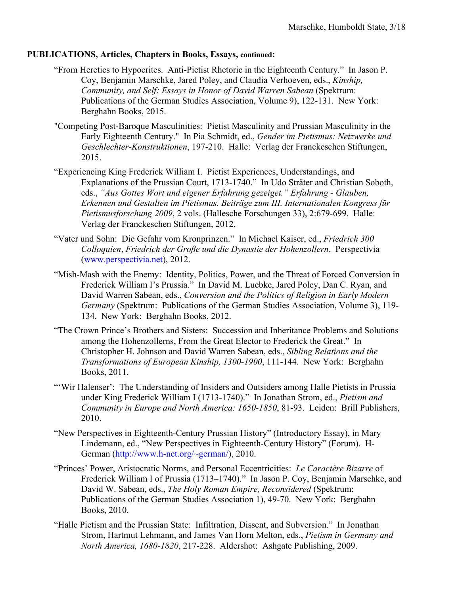#### **PUBLICATIONS, Articles, Chapters in Books, Essays, continued:**

- "From Heretics to Hypocrites. Anti-Pietist Rhetoric in the Eighteenth Century." In Jason P. Coy, Benjamin Marschke, Jared Poley, and Claudia Verhoeven, eds., *Kinship, Community, and Self: Essays in Honor of David Warren Sabean* (Spektrum: Publications of the German Studies Association, Volume 9), 122-131. New York: Berghahn Books, 2015.
- "Competing Post-Baroque Masculinities: Pietist Masculinity and Prussian Masculinity in the Early Eighteenth Century." In Pia Schmidt, ed., *Gender im Pietismus: Netzwerke und Geschlechter-Konstruktionen*, 197-210. Halle: Verlag der Franckeschen Stiftungen, 2015.
- "Experiencing King Frederick William I. Pietist Experiences, Understandings, and Explanations of the Prussian Court, 1713-1740." In Udo Sträter and Christian Soboth, eds., *"Aus Gottes Wort und eigener Erfahrung gezeiget." Erfahrung - Glauben, Erkennen und Gestalten im Pietismus. Beiträge zum III. Internationalen Kongress für Pietismusforschung 2009*, 2 vols. (Hallesche Forschungen 33), 2:679-699. Halle: Verlag der Franckeschen Stiftungen, 2012.
- "Vater und Sohn: Die Gefahr vom Kronprinzen." In Michael Kaiser, ed., *Friedrich 300 Colloquien*, *Friedrich der Große und die Dynastie der Hohenzollern*. Perspectivia (www.perspectivia.net), 2012.
- "Mish-Mash with the Enemy: Identity, Politics, Power, and the Threat of Forced Conversion in Frederick William I's Prussia." In David M. Luebke, Jared Poley, Dan C. Ryan, and David Warren Sabean, eds., *Conversion and the Politics of Religion in Early Modern Germany* (Spektrum: Publications of the German Studies Association, Volume 3), 119- 134. New York: Berghahn Books, 2012.
- "The Crown Prince's Brothers and Sisters: Succession and Inheritance Problems and Solutions among the Hohenzollerns, From the Great Elector to Frederick the Great." In Christopher H. Johnson and David Warren Sabean, eds., *Sibling Relations and the Transformations of European Kinship, 1300-1900*, 111-144. New York: Berghahn Books, 2011.
- "'Wir Halenser': The Understanding of Insiders and Outsiders among Halle Pietists in Prussia under King Frederick William I (1713-1740)." In Jonathan Strom, ed., *Pietism and Community in Europe and North America: 1650-1850*, 81-93. Leiden: Brill Publishers, 2010.
- "New Perspectives in Eighteenth-Century Prussian History" (Introductory Essay), in Mary Lindemann, ed., "New Perspectives in Eighteenth-Century History" (Forum). H-German (http://www.h-net.org/~german/), 2010.
- "Princes' Power, Aristocratic Norms, and Personal Eccentricities: *Le Caractère Bizarre* of Frederick William I of Prussia (1713–1740)." In Jason P. Coy, Benjamin Marschke, and David W. Sabean, eds., *The Holy Roman Empire, Reconsidered* (Spektrum: Publications of the German Studies Association 1), 49-70. New York: Berghahn Books, 2010.
- "Halle Pietism and the Prussian State: Infiltration, Dissent, and Subversion." In Jonathan Strom, Hartmut Lehmann, and James Van Horn Melton, eds., *Pietism in Germany and North America, 1680-1820*, 217-228. Aldershot: Ashgate Publishing, 2009.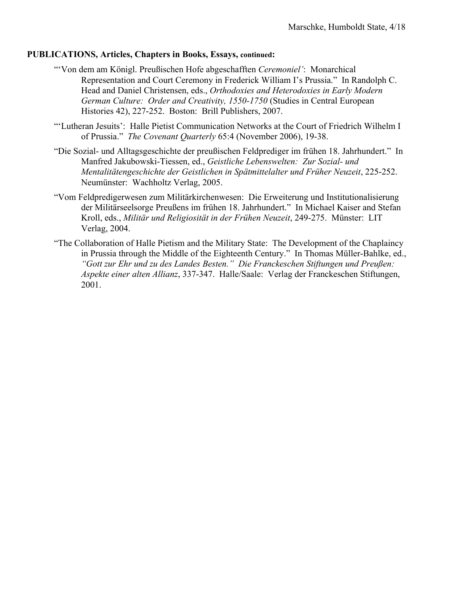#### **PUBLICATIONS, Articles, Chapters in Books, Essays, continued:**

- "'Von dem am Königl. Preußischen Hofe abgeschafften *Ceremoniel'*: Monarchical Representation and Court Ceremony in Frederick William I's Prussia." In Randolph C. Head and Daniel Christensen, eds., *Orthodoxies and Heterodoxies in Early Modern German Culture: Order and Creativity, 1550-1750* (Studies in Central European Histories 42), 227-252. Boston: Brill Publishers, 2007.
- "'Lutheran Jesuits': Halle Pietist Communication Networks at the Court of Friedrich Wilhelm I of Prussia." *The Covenant Quarterly* 65:4 (November 2006), 19-38.
- "Die Sozial- und Alltagsgeschichte der preußischen Feldprediger im frühen 18. Jahrhundert." In Manfred Jakubowski-Tiessen, ed., *Geistliche Lebenswelten: Zur Sozial- und Mentalitätengeschichte der Geistlichen in Spätmittelalter und Früher Neuzeit*, 225-252. Neumünster: Wachholtz Verlag, 2005.
- "Vom Feldpredigerwesen zum Militärkirchenwesen: Die Erweiterung und Institutionalisierung der Militärseelsorge Preußens im frühen 18. Jahrhundert." In Michael Kaiser and Stefan Kroll, eds., *Militär und Religiosität in der Frühen Neuzeit*, 249-275. Münster: LIT Verlag, 2004.
- "The Collaboration of Halle Pietism and the Military State: The Development of the Chaplaincy in Prussia through the Middle of the Eighteenth Century." In Thomas Müller-Bahlke, ed., *"Gott zur Ehr und zu des Landes Besten." Die Franckeschen Stiftungen und Preußen: Aspekte einer alten Allianz*, 337-347. Halle/Saale: Verlag der Franckeschen Stiftungen, 2001.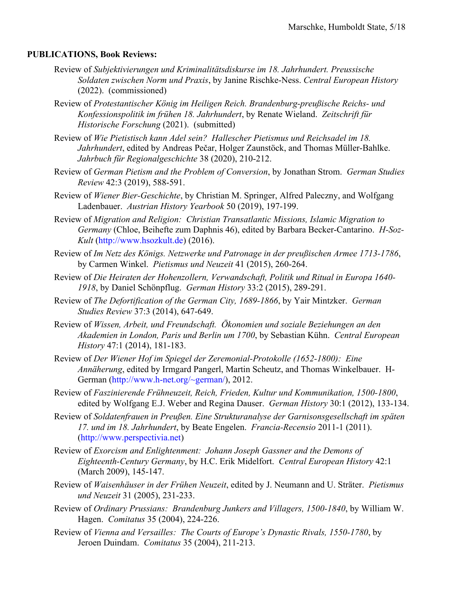#### **PUBLICATIONS, Book Reviews:**

- Review of *Subjektivierungen und Kriminalitätsdiskurse im 18. Jahrhundert. Preussische Soldaten zwischen Norm und Praxis*, by Janine Rischke-Ness. *Central European History* (2022). (commissioned)
- Review of *Protestantischer König im Heiligen Reich. Brandenburg-preußische Reichs- und Konfessionspolitik im frühen 18. Jahrhundert*, by Renate Wieland. *Zeitschrift für Historische Forschung* (2021). (submitted)
- Review of *Wie Pietistisch kann Adel sein? Hallescher Pietismus und Reichsadel im 18. Jahrhundert*, edited by Andreas Pečar, Holger Zaunstöck, and Thomas Müller-Bahlke. *Jahrbuch für Regionalgeschichte* 38 (2020), 210-212.
- Review of *German Pietism and the Problem of Conversion*, by Jonathan Strom. *German Studies Review* 42:3 (2019), 588-591.
- Review of *Wiener Bier-Geschichte*, by Christian M. Springer, Alfred Paleczny, and Wolfgang Ladenbauer. *Austrian History Yearbook* 50 (2019), 197-199.
- Review of *Migration and Religion: Christian Transatlantic Missions, Islamic Migration to Germany* (Chloe, Beihefte zum Daphnis 46), edited by Barbara Becker-Cantarino. *H-Soz-Kult* (http://www.hsozkult.de) (2016).
- Review of *Im Netz des Königs. Netzwerke und Patronage in der preußischen Armee 1713-1786*, by Carmen Winkel. *Pietismus und Neuzeit* 41 (2015), 260-264.
- Review of *Die Heiraten der Hohenzollern, Verwandschaft, Politik und Ritual in Europa 1640- 1918*, by Daniel Schönpflug. *German History* 33:2 (2015), 289-291.
- Review of *The Defortification of the German City, 1689-1866*, by Yair Mintzker. *German Studies Review* 37:3 (2014), 647-649.
- Review of *Wissen, Arbeit, und Freundschaft. Ökonomien und soziale Beziehungen an den Akademien in London, Paris und Berlin um 1700*, by Sebastian Kühn. *Central European History* 47:1 (2014), 181-183.
- Review of *Der Wiener Hof im Spiegel der Zeremonial-Protokolle (1652-1800): Eine Annäherung*, edited by Irmgard Pangerl, Martin Scheutz, and Thomas Winkelbauer. H-German (http://www.h-net.org/~german/), 2012.
- Review of *Faszinierende Frühneuzeit, Reich, Frieden, Kultur und Kommunikation, 1500-1800*, edited by Wolfgang E.J. Weber and Regina Dauser. *German History* 30:1 (2012), 133-134.
- Review of *Soldatenfrauen in Preußen. Eine Strukturanalyse der Garnisonsgesellschaft im späten 17. und im 18. Jahrhundert*, by Beate Engelen. *Francia-Recensio* 2011-1 (2011). (http://www.perspectivia.net)
- Review of *Exorcism and Enlightenment: Johann Joseph Gassner and the Demons of Eighteenth-Century Germany*, by H.C. Erik Midelfort. *Central European History* 42:1 (March 2009), 145-147.
- Review of *Waisenhäuser in der Frühen Neuzeit*, edited by J. Neumann and U. Sträter. *Pietismus und Neuzeit* 31 (2005), 231-233.
- Review of *Ordinary Prussians: Brandenburg Junkers and Villagers, 1500-1840*, by William W. Hagen. *Comitatus* 35 (2004), 224-226.
- Review of *Vienna and Versailles: The Courts of Europe's Dynastic Rivals, 1550-1780*, by Jeroen Duindam. *Comitatus* 35 (2004), 211-213.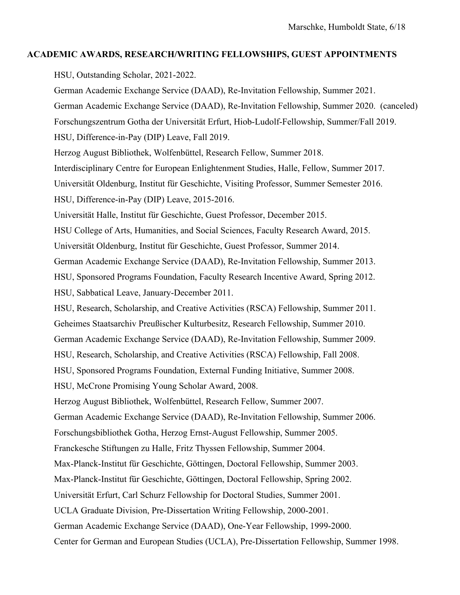## **ACADEMIC AWARDS, RESEARCH/WRITING FELLOWSHIPS, GUEST APPOINTMENTS**

HSU, Outstanding Scholar, 2021-2022.

German Academic Exchange Service (DAAD), Re-Invitation Fellowship, Summer 2021. German Academic Exchange Service (DAAD), Re-Invitation Fellowship, Summer 2020. (canceled) Forschungszentrum Gotha der Universität Erfurt, Hiob-Ludolf-Fellowship, Summer/Fall 2019. HSU, Difference-in-Pay (DIP) Leave, Fall 2019. Herzog August Bibliothek, Wolfenbüttel, Research Fellow, Summer 2018. Interdisciplinary Centre for European Enlightenment Studies, Halle, Fellow, Summer 2017. Universität Oldenburg, Institut für Geschichte, Visiting Professor, Summer Semester 2016. HSU, Difference-in-Pay (DIP) Leave, 2015-2016. Universität Halle, Institut für Geschichte, Guest Professor, December 2015. HSU College of Arts, Humanities, and Social Sciences, Faculty Research Award, 2015. Universität Oldenburg, Institut für Geschichte, Guest Professor, Summer 2014. German Academic Exchange Service (DAAD), Re-Invitation Fellowship, Summer 2013. HSU, Sponsored Programs Foundation, Faculty Research Incentive Award, Spring 2012. HSU, Sabbatical Leave, January-December 2011. HSU, Research, Scholarship, and Creative Activities (RSCA) Fellowship, Summer 2011. Geheimes Staatsarchiv Preußischer Kulturbesitz, Research Fellowship, Summer 2010. German Academic Exchange Service (DAAD), Re-Invitation Fellowship, Summer 2009. HSU, Research, Scholarship, and Creative Activities (RSCA) Fellowship, Fall 2008. HSU, Sponsored Programs Foundation, External Funding Initiative, Summer 2008. HSU, McCrone Promising Young Scholar Award, 2008. Herzog August Bibliothek, Wolfenbüttel, Research Fellow, Summer 2007. German Academic Exchange Service (DAAD), Re-Invitation Fellowship, Summer 2006. Forschungsbibliothek Gotha, Herzog Ernst-August Fellowship, Summer 2005. Franckesche Stiftungen zu Halle, Fritz Thyssen Fellowship, Summer 2004. Max-Planck-Institut für Geschichte, Göttingen, Doctoral Fellowship, Summer 2003. Max-Planck-Institut für Geschichte, Göttingen, Doctoral Fellowship, Spring 2002. Universität Erfurt, Carl Schurz Fellowship for Doctoral Studies, Summer 2001. UCLA Graduate Division, Pre-Dissertation Writing Fellowship, 2000-2001. German Academic Exchange Service (DAAD), One-Year Fellowship, 1999-2000. Center for German and European Studies (UCLA), Pre-Dissertation Fellowship, Summer 1998.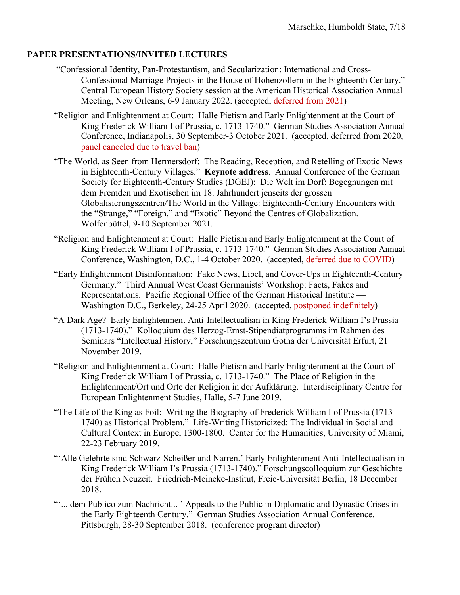# **PAPER PRESENTATIONS/INVITED LECTURES**

- "Confessional Identity, Pan-Protestantism, and Secularization: International and Cross-Confessional Marriage Projects in the House of Hohenzollern in the Eighteenth Century." Central European History Society session at the American Historical Association Annual Meeting, New Orleans, 6-9 January 2022. (accepted, deferred from 2021)
- "Religion and Enlightenment at Court: Halle Pietism and Early Enlightenment at the Court of King Frederick William I of Prussia, c. 1713-1740." German Studies Association Annual Conference, Indianapolis, 30 September-3 October 2021. (accepted, deferred from 2020, panel canceled due to travel ban)
- "The World, as Seen from Hermersdorf: The Reading, Reception, and Retelling of Exotic News in Eighteenth-Century Villages." **Keynote address**. Annual Conference of the German Society for Eighteenth-Century Studies (DGEJ): Die Welt im Dorf: Begegnungen mit dem Fremden und Exotischen im 18. Jahrhundert jenseits der grossen Globalisierungszentren/The World in the Village: Eighteenth-Century Encounters with the "Strange," "Foreign," and "Exotic" Beyond the Centres of Globalization. Wolfenbüttel, 9-10 September 2021.
- "Religion and Enlightenment at Court: Halle Pietism and Early Enlightenment at the Court of King Frederick William I of Prussia, c. 1713-1740." German Studies Association Annual Conference, Washington, D.C., 1-4 October 2020. (accepted, deferred due to COVID)
- "Early Enlightenment Disinformation: Fake News, Libel, and Cover-Ups in Eighteenth-Century Germany." Third Annual West Coast Germanists' Workshop: Facts, Fakes and Representations. Pacific Regional Office of the German Historical Institute — Washington D.C., Berkeley, 24-25 April 2020. (accepted, postponed indefinitely)
- "A Dark Age? Early Enlightenment Anti-Intellectualism in King Frederick William I's Prussia (1713-1740)." Kolloquium des Herzog-Ernst-Stipendiatprogramms im Rahmen des Seminars "Intellectual History," Forschungszentrum Gotha der Universität Erfurt, 21 November 2019.
- "Religion and Enlightenment at Court: Halle Pietism and Early Enlightenment at the Court of King Frederick William I of Prussia, c. 1713-1740." The Place of Religion in the Enlightenment/Ort und Orte der Religion in der Aufklärung. Interdisciplinary Centre for European Enlightenment Studies, Halle, 5-7 June 2019.
- "The Life of the King as Foil: Writing the Biography of Frederick William I of Prussia (1713- 1740) as Historical Problem." Life-Writing Historicized: The Individual in Social and Cultural Context in Europe, 1300-1800. Center for the Humanities, University of Miami, 22-23 February 2019.
- "'Alle Gelehrte sind Schwarz-Scheißer und Narren.' Early Enlightenment Anti-Intellectualism in King Frederick William I's Prussia (1713-1740)." Forschungscolloquium zur Geschichte der Frühen Neuzeit. Friedrich-Meineke-Institut, Freie-Universität Berlin, 18 December 2018.
- "'... dem Publico zum Nachricht... ' Appeals to the Public in Diplomatic and Dynastic Crises in the Early Eighteenth Century." German Studies Association Annual Conference. Pittsburgh, 28-30 September 2018. (conference program director)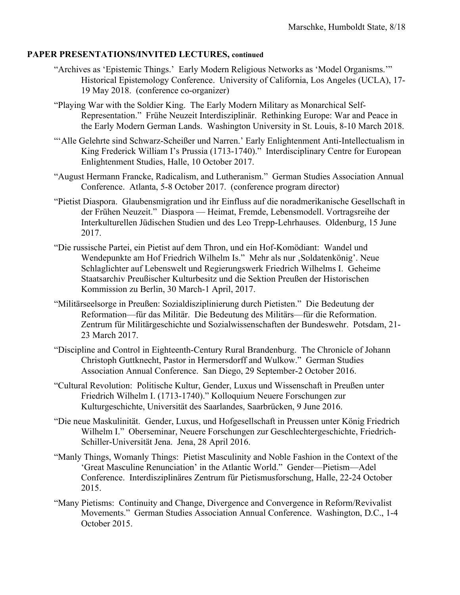- "Archives as 'Epistemic Things.' Early Modern Religious Networks as 'Model Organisms.'" Historical Epistemology Conference. University of California, Los Angeles (UCLA), 17- 19 May 2018. (conference co-organizer)
- "Playing War with the Soldier King. The Early Modern Military as Monarchical Self-Representation." Frühe Neuzeit Interdisziplinär. Rethinking Europe: War and Peace in the Early Modern German Lands. Washington University in St. Louis, 8-10 March 2018.
- "'Alle Gelehrte sind Schwarz-Scheißer und Narren.' Early Enlightenment Anti-Intellectualism in King Frederick William I's Prussia (1713-1740)." Interdisciplinary Centre for European Enlightenment Studies, Halle, 10 October 2017.
- "August Hermann Francke, Radicalism, and Lutheranism." German Studies Association Annual Conference. Atlanta, 5-8 October 2017. (conference program director)
- "Pietist Diaspora. Glaubensmigration und ihr Einfluss auf die noradmerikanische Gesellschaft in der Frühen Neuzeit." Diaspora — Heimat, Fremde, Lebensmodell. Vortragsreihe der Interkulturellen Jüdischen Studien und des Leo Trepp-Lehrhauses. Oldenburg, 15 June 2017.
- "Die russische Partei, ein Pietist auf dem Thron, und ein Hof-Komödiant: Wandel und Wendepunkte am Hof Friedrich Wilhelm Is." Mehr als nur , Soldatenkönig'. Neue Schlaglichter auf Lebenswelt und Regierungswerk Friedrich Wilhelms I. Geheime Staatsarchiv Preußischer Kulturbesitz und die Sektion Preußen der Historischen Kommission zu Berlin, 30 March-1 April, 2017.
- "Militärseelsorge in Preußen: Sozialdisziplinierung durch Pietisten." Die Bedeutung der Reformation—für das Militär. Die Bedeutung des Militärs—für die Reformation. Zentrum für Militärgeschichte und Sozialwissenschaften der Bundeswehr. Potsdam, 21- 23 March 2017.
- "Discipline and Control in Eighteenth-Century Rural Brandenburg. The Chronicle of Johann Christoph Guttknecht, Pastor in Hermersdorff and Wulkow." German Studies Association Annual Conference. San Diego, 29 September-2 October 2016.
- "Cultural Revolution: Politische Kultur, Gender, Luxus und Wissenschaft in Preußen unter Friedrich Wilhelm I. (1713-1740)." Kolloquium Neuere Forschungen zur Kulturgeschichte, Universität des Saarlandes, Saarbrücken, 9 June 2016.
- "Die neue Maskulinität. Gender, Luxus, und Hofgesellschaft in Preussen unter König Friedrich Wilhelm I." Oberseminar, Neuere Forschungen zur Geschlechtergeschichte, Friedrich-Schiller-Universität Jena. Jena, 28 April 2016.
- "Manly Things, Womanly Things: Pietist Masculinity and Noble Fashion in the Context of the 'Great Masculine Renunciation' in the Atlantic World." Gender—Pietism—Adel Conference. Interdisziplinäres Zentrum für Pietismusforschung, Halle, 22-24 October 2015.
- "Many Pietisms: Continuity and Change, Divergence and Convergence in Reform/Revivalist Movements." German Studies Association Annual Conference. Washington, D.C., 1-4 October 2015.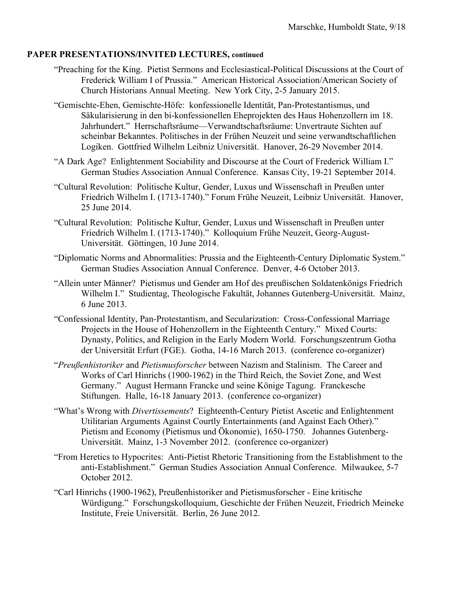- "Preaching for the King. Pietist Sermons and Ecclesiastical-Political Discussions at the Court of Frederick William I of Prussia." American Historical Association/American Society of Church Historians Annual Meeting. New York City, 2-5 January 2015.
- "Gemischte-Ehen, Gemischte-Höfe: konfessionelle Identität, Pan-Protestantismus, und Säkularisierung in den bi-konfessionellen Eheprojekten des Haus Hohenzollern im 18. Jahrhundert." Herrschaftsräume—Verwandtschaftsräume: Unvertraute Sichten auf scheinbar Bekanntes. Politisches in der Frühen Neuzeit und seine verwandtschaftlichen Logiken. Gottfried Wilhelm Leibniz Universität. Hanover, 26-29 November 2014.
- "A Dark Age? Enlightenment Sociability and Discourse at the Court of Frederick William I." German Studies Association Annual Conference. Kansas City, 19-21 September 2014.
- "Cultural Revolution: Politische Kultur, Gender, Luxus und Wissenschaft in Preußen unter Friedrich Wilhelm I. (1713-1740)." Forum Frühe Neuzeit, Leibniz Universität. Hanover, 25 June 2014.
- "Cultural Revolution: Politische Kultur, Gender, Luxus und Wissenschaft in Preußen unter Friedrich Wilhelm I. (1713-1740)." Kolloquium Frühe Neuzeit, Georg-August-Universität. Göttingen, 10 June 2014.
- "Diplomatic Norms and Abnormalities: Prussia and the Eighteenth-Century Diplomatic System." German Studies Association Annual Conference. Denver, 4-6 October 2013.
- "Allein unter Männer? Pietismus und Gender am Hof des preußischen Soldatenkönigs Friedrich Wilhelm I." Studientag, Theologische Fakultät, Johannes Gutenberg-Universität. Mainz, 6 June 2013.
- "Confessional Identity, Pan-Protestantism, and Secularization: Cross-Confessional Marriage Projects in the House of Hohenzollern in the Eighteenth Century." Mixed Courts: Dynasty, Politics, and Religion in the Early Modern World. Forschungszentrum Gotha der Universität Erfurt (FGE). Gotha, 14-16 March 2013. (conference co-organizer)
- "*Preußenhistoriker* and *Pietismusforscher* between Nazism and Stalinism. The Career and Works of Carl Hinrichs (1900-1962) in the Third Reich, the Soviet Zone, and West Germany." August Hermann Francke und seine Könige Tagung. Franckesche Stiftungen. Halle, 16-18 January 2013. (conference co-organizer)
- "What's Wrong with *Divertissements*? Eighteenth-Century Pietist Ascetic and Enlightenment Utilitarian Arguments Against Courtly Entertainments (and Against Each Other)." Pietism and Economy (Pietismus und Ökonomie), 1650-1750. Johannes Gutenberg-Universität. Mainz, 1-3 November 2012. (conference co-organizer)
- "From Heretics to Hypocrites: Anti-Pietist Rhetoric Transitioning from the Establishment to the anti-Establishment." German Studies Association Annual Conference. Milwaukee, 5-7 October 2012.
- "Carl Hinrichs (1900-1962), Preußenhistoriker and Pietismusforscher Eine kritische Würdigung." Forschungskolloquium, Geschichte der Frühen Neuzeit, Friedrich Meineke Institute, Freie Universität. Berlin, 26 June 2012.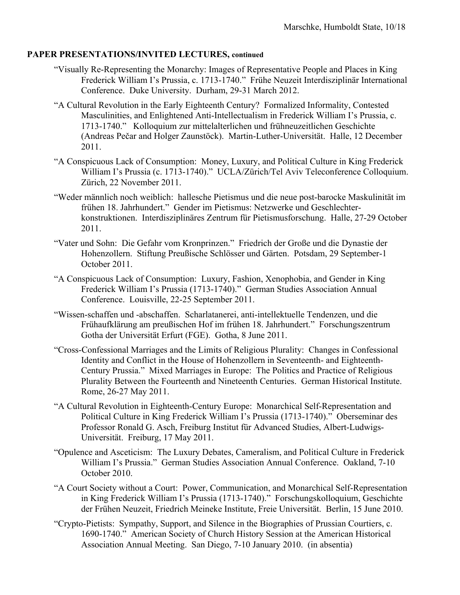- "Visually Re-Representing the Monarchy: Images of Representative People and Places in King Frederick William I's Prussia, c. 1713-1740." Frühe Neuzeit Interdisziplinär International Conference. Duke University. Durham, 29-31 March 2012.
- "A Cultural Revolution in the Early Eighteenth Century? Formalized Informality, Contested Masculinities, and Enlightened Anti-Intellectualism in Frederick William I's Prussia, c. 1713-1740." Kolloquium zur mittelalterlichen und frühneuzeitlichen Geschichte (Andreas Pečar and Holger Zaunstöck). Martin-Luther-Universität. Halle, 12 December 2011.
- "A Conspicuous Lack of Consumption: Money, Luxury, and Political Culture in King Frederick William I's Prussia (c. 1713-1740)." UCLA/Zürich/Tel Aviv Teleconference Colloquium. Zürich, 22 November 2011.
- "Weder männlich noch weiblich: hallesche Pietismus und die neue post-barocke Maskulinität im frühen 18. Jahrhundert." Gender im Pietismus: Netzwerke und Geschlechterkonstruktionen. Interdisziplinäres Zentrum für Pietismusforschung. Halle, 27-29 October 2011.
- "Vater und Sohn: Die Gefahr vom Kronprinzen." Friedrich der Große und die Dynastie der Hohenzollern. Stiftung Preußische Schlösser und Gärten. Potsdam, 29 September-1 October 2011.
- "A Conspicuous Lack of Consumption: Luxury, Fashion, Xenophobia, and Gender in King Frederick William I's Prussia (1713-1740)." German Studies Association Annual Conference. Louisville, 22-25 September 2011.
- "Wissen-schaffen und -abschaffen. Scharlatanerei, anti-intellektuelle Tendenzen, und die Frühaufklärung am preußischen Hof im frühen 18. Jahrhundert." Forschungszentrum Gotha der Universität Erfurt (FGE). Gotha, 8 June 2011.
- "Cross-Confessional Marriages and the Limits of Religious Plurality: Changes in Confessional Identity and Conflict in the House of Hohenzollern in Seventeenth- and Eighteenth-Century Prussia." Mixed Marriages in Europe: The Politics and Practice of Religious Plurality Between the Fourteenth and Nineteenth Centuries. German Historical Institute. Rome, 26-27 May 2011.
- "A Cultural Revolution in Eighteenth-Century Europe: Monarchical Self-Representation and Political Culture in King Frederick William I's Prussia (1713-1740)." Oberseminar des Professor Ronald G. Asch, Freiburg Institut für Advanced Studies, Albert-Ludwigs-Universität. Freiburg, 17 May 2011.
- "Opulence and Asceticism: The Luxury Debates, Cameralism, and Political Culture in Frederick William I's Prussia." German Studies Association Annual Conference. Oakland, 7-10 October 2010.
- "A Court Society without a Court: Power, Communication, and Monarchical Self-Representation in King Frederick William I's Prussia (1713-1740)." Forschungskolloquium, Geschichte der Frühen Neuzeit, Friedrich Meineke Institute, Freie Universität. Berlin, 15 June 2010.
- "Crypto-Pietists: Sympathy, Support, and Silence in the Biographies of Prussian Courtiers, c. 1690-1740." American Society of Church History Session at the American Historical Association Annual Meeting. San Diego, 7-10 January 2010. (in absentia)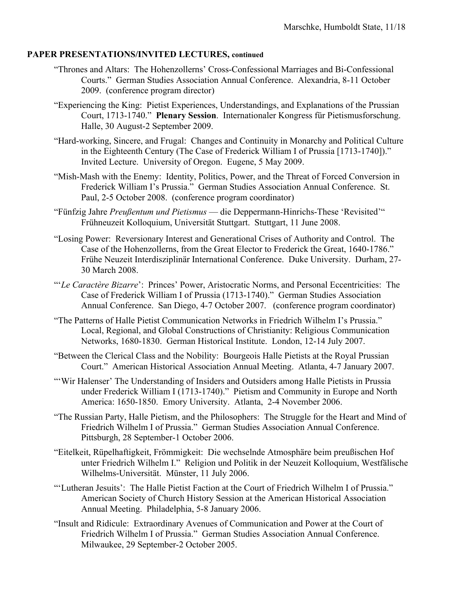- "Thrones and Altars: The Hohenzollerns' Cross-Confessional Marriages and Bi-Confessional Courts." German Studies Association Annual Conference. Alexandria, 8-11 October 2009. (conference program director)
- "Experiencing the King: Pietist Experiences, Understandings, and Explanations of the Prussian Court, 1713-1740." **Plenary Session**. Internationaler Kongress für Pietismusforschung. Halle, 30 August-2 September 2009.
- "Hard-working, Sincere, and Frugal: Changes and Continuity in Monarchy and Political Culture in the Eighteenth Century (The Case of Frederick William I of Prussia [1713-1740])." Invited Lecture. University of Oregon. Eugene, 5 May 2009.
- "Mish-Mash with the Enemy: Identity, Politics, Power, and the Threat of Forced Conversion in Frederick William I's Prussia." German Studies Association Annual Conference. St. Paul, 2-5 October 2008. (conference program coordinator)
- "Fünfzig Jahre *Preußentum und Pietismus* die Deppermann-Hinrichs-These 'Revisited'" Frühneuzeit Kolloquium, Universität Stuttgart. Stuttgart, 11 June 2008.
- "Losing Power: Reversionary Interest and Generational Crises of Authority and Control. The Case of the Hohenzollerns, from the Great Elector to Frederick the Great, 1640-1786." Frühe Neuzeit Interdisziplinär International Conference. Duke University. Durham, 27- 30 March 2008.
- "'*Le Caractère Bizarre*': Princes' Power, Aristocratic Norms, and Personal Eccentricities: The Case of Frederick William I of Prussia (1713-1740)." German Studies Association Annual Conference. San Diego, 4-7 October 2007. (conference program coordinator)
- "The Patterns of Halle Pietist Communication Networks in Friedrich Wilhelm I's Prussia." Local, Regional, and Global Constructions of Christianity: Religious Communication Networks, 1680-1830. German Historical Institute. London, 12-14 July 2007.
- "Between the Clerical Class and the Nobility: Bourgeois Halle Pietists at the Royal Prussian Court." American Historical Association Annual Meeting. Atlanta, 4-7 January 2007.
- "'Wir Halenser' The Understanding of Insiders and Outsiders among Halle Pietists in Prussia under Frederick William I (1713-1740)." Pietism and Community in Europe and North America: 1650-1850. Emory University. Atlanta, 2-4 November 2006.
- "The Russian Party, Halle Pietism, and the Philosophers: The Struggle for the Heart and Mind of Friedrich Wilhelm I of Prussia." German Studies Association Annual Conference. Pittsburgh, 28 September-1 October 2006.
- "Eitelkeit, Rüpelhaftigkeit, Frömmigkeit: Die wechselnde Atmosphäre beim preußischen Hof unter Friedrich Wilhelm I." Religion und Politik in der Neuzeit Kolloquium, Westfälische Wilhelms-Universität. Münster, 11 July 2006.
- "'Lutheran Jesuits': The Halle Pietist Faction at the Court of Friedrich Wilhelm I of Prussia." American Society of Church History Session at the American Historical Association Annual Meeting. Philadelphia, 5-8 January 2006.
- "Insult and Ridicule: Extraordinary Avenues of Communication and Power at the Court of Friedrich Wilhelm I of Prussia." German Studies Association Annual Conference. Milwaukee, 29 September-2 October 2005.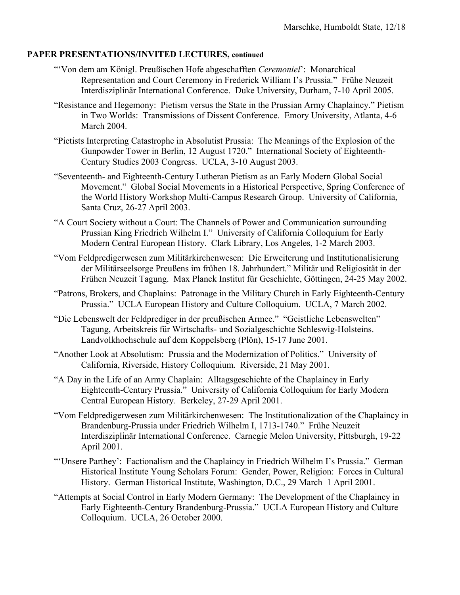- "'Von dem am Königl. Preußischen Hofe abgeschafften *Ceremoniel*': Monarchical Representation and Court Ceremony in Frederick William I's Prussia." Frühe Neuzeit Interdisziplinär International Conference. Duke University, Durham, 7-10 April 2005.
- "Resistance and Hegemony: Pietism versus the State in the Prussian Army Chaplaincy." Pietism in Two Worlds: Transmissions of Dissent Conference. Emory University, Atlanta, 4-6 March 2004.
- "Pietists Interpreting Catastrophe in Absolutist Prussia: The Meanings of the Explosion of the Gunpowder Tower in Berlin, 12 August 1720." International Society of Eighteenth-Century Studies 2003 Congress. UCLA, 3-10 August 2003.
- "Seventeenth- and Eighteenth-Century Lutheran Pietism as an Early Modern Global Social Movement." Global Social Movements in a Historical Perspective, Spring Conference of the World History Workshop Multi-Campus Research Group. University of California, Santa Cruz, 26-27 April 2003.
- "A Court Society without a Court: The Channels of Power and Communication surrounding Prussian King Friedrich Wilhelm I." University of California Colloquium for Early Modern Central European History. Clark Library, Los Angeles, 1-2 March 2003.
- "Vom Feldpredigerwesen zum Militärkirchenwesen: Die Erweiterung und Institutionalisierung der Militärseelsorge Preußens im frühen 18. Jahrhundert." Militär und Religiosität in der Frühen Neuzeit Tagung. Max Planck Institut für Geschichte, Göttingen, 24-25 May 2002.
- "Patrons, Brokers, and Chaplains: Patronage in the Military Church in Early Eighteenth-Century Prussia." UCLA European History and Culture Colloquium. UCLA, 7 March 2002.
- "Die Lebenswelt der Feldprediger in der preußischen Armee." "Geistliche Lebenswelten" Tagung, Arbeitskreis für Wirtschafts- und Sozialgeschichte Schleswig-Holsteins. Landvolkhochschule auf dem Koppelsberg (Plön), 15-17 June 2001.
- "Another Look at Absolutism: Prussia and the Modernization of Politics." University of California, Riverside, History Colloquium. Riverside, 21 May 2001.
- "A Day in the Life of an Army Chaplain: Alltagsgeschichte of the Chaplaincy in Early Eighteenth-Century Prussia." University of California Colloquium for Early Modern Central European History. Berkeley, 27-29 April 2001.
- "Vom Feldpredigerwesen zum Militärkirchenwesen: The Institutionalization of the Chaplaincy in Brandenburg-Prussia under Friedrich Wilhelm I, 1713-1740." Frühe Neuzeit Interdisziplinär International Conference. Carnegie Melon University, Pittsburgh, 19-22 April 2001.
- "'Unsere Parthey': Factionalism and the Chaplaincy in Friedrich Wilhelm I's Prussia." German Historical Institute Young Scholars Forum: Gender, Power, Religion: Forces in Cultural History. German Historical Institute, Washington, D.C., 29 March–1 April 2001.
- "Attempts at Social Control in Early Modern Germany: The Development of the Chaplaincy in Early Eighteenth-Century Brandenburg-Prussia." UCLA European History and Culture Colloquium. UCLA, 26 October 2000.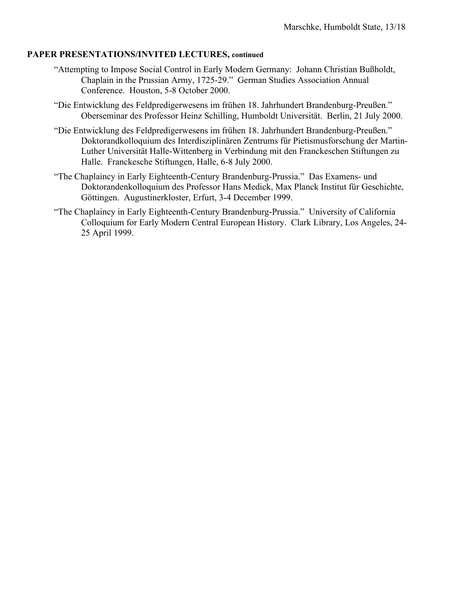- "Attempting to Impose Social Control in Early Modern Germany: Johann Christian Bußholdt, Chaplain in the Prussian Army, 1725-29." German Studies Association Annual Conference. Houston, 5-8 October 2000.
- "Die Entwicklung des Feldpredigerwesens im frühen 18. Jahrhundert Brandenburg-Preußen." Oberseminar des Professor Heinz Schilling, Humboldt Universität. Berlin, 21 July 2000.
- "Die Entwicklung des Feldpredigerwesens im frühen 18. Jahrhundert Brandenburg-Preußen." Doktorandkolloquium des Interdisziplinären Zentrums für Pietismusforschung der Martin-Luther Universität Halle-Wittenberg in Verbindung mit den Franckeschen Stiftungen zu Halle. Franckesche Stiftungen, Halle, 6-8 July 2000.
- "The Chaplaincy in Early Eighteenth-Century Brandenburg-Prussia." Das Examens- und Doktorandenkolloquium des Professor Hans Medick, Max Planck Institut für Geschichte, Göttingen. Augustinerkloster, Erfurt, 3-4 December 1999.
- "The Chaplaincy in Early Eighteenth-Century Brandenburg-Prussia." University of California Colloquium for Early Modern Central European History. Clark Library, Los Angeles, 24- 25 April 1999.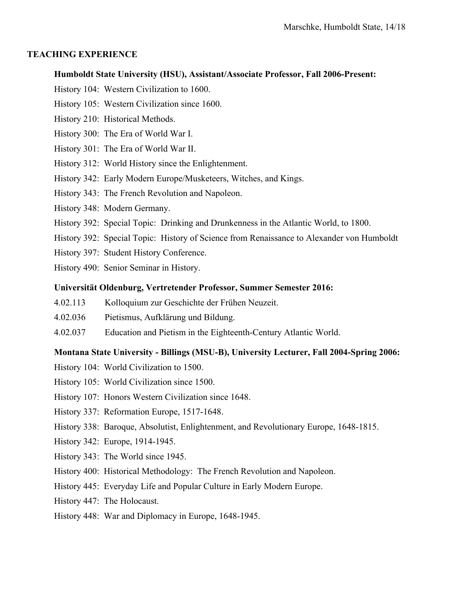#### **TEACHING EXPERIENCE**

#### **Humboldt State University (HSU), Assistant/Associate Professor, Fall 2006-Present:**

- History 104: Western Civilization to 1600.
- History 105: Western Civilization since 1600.
- History 210: Historical Methods.
- History 300: The Era of World War I.
- History 301: The Era of World War II.
- History 312: World History since the Enlightenment.
- History 342: Early Modern Europe/Musketeers, Witches, and Kings.
- History 343: The French Revolution and Napoleon.
- History 348: Modern Germany.
- History 392: Special Topic: Drinking and Drunkenness in the Atlantic World, to 1800.
- History 392: Special Topic: History of Science from Renaissance to Alexander von Humboldt
- History 397: Student History Conference.
- History 490: Senior Seminar in History.

#### **Universität Oldenburg, Vertretender Professor, Summer Semester 2016:**

- 4.02.113 Kolloquium zur Geschichte der Frühen Neuzeit.
- 4.02.036 Pietismus, Aufklärung und Bildung.
- 4.02.037 Education and Pietism in the Eighteenth-Century Atlantic World.

## **Montana State University - Billings (MSU-B), University Lecturer, Fall 2004-Spring 2006:**

- History 104: World Civilization to 1500.
- History 105: World Civilization since 1500.
- History 107: Honors Western Civilization since 1648.
- History 337: Reformation Europe, 1517-1648.
- History 338: Baroque, Absolutist, Enlightenment, and Revolutionary Europe, 1648-1815.
- History 342: Europe, 1914-1945.
- History 343: The World since 1945.
- History 400: Historical Methodology: The French Revolution and Napoleon.
- History 445: Everyday Life and Popular Culture in Early Modern Europe.
- History 447: The Holocaust.
- History 448: War and Diplomacy in Europe, 1648-1945.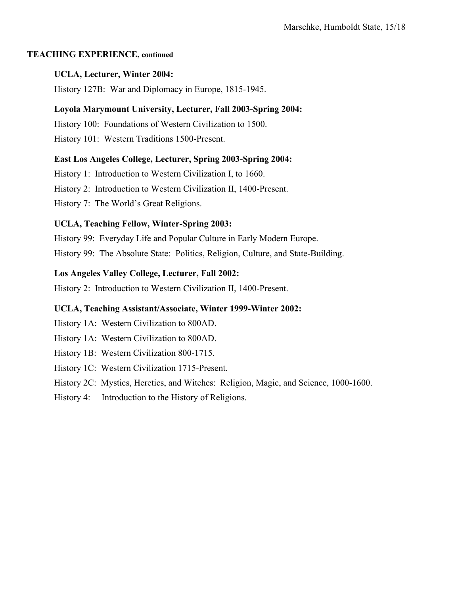## **TEACHING EXPERIENCE, continued**

# **UCLA, Lecturer, Winter 2004:**

History 127B: War and Diplomacy in Europe, 1815-1945.

# **Loyola Marymount University, Lecturer, Fall 2003-Spring 2004:**

History 100: Foundations of Western Civilization to 1500.

History 101: Western Traditions 1500-Present.

# **East Los Angeles College, Lecturer, Spring 2003-Spring 2004:**

History 1: Introduction to Western Civilization I, to 1660.

History 2: Introduction to Western Civilization II, 1400-Present.

History 7: The World's Great Religions.

# **UCLA, Teaching Fellow, Winter-Spring 2003:**

History 99: Everyday Life and Popular Culture in Early Modern Europe.

History 99: The Absolute State: Politics, Religion, Culture, and State-Building.

# **Los Angeles Valley College, Lecturer, Fall 2002:**

History 2: Introduction to Western Civilization II, 1400-Present.

### **UCLA, Teaching Assistant/Associate, Winter 1999-Winter 2002:**

History 1A: Western Civilization to 800AD.

History 1A: Western Civilization to 800AD.

- History 1B: Western Civilization 800-1715.
- History 1C: Western Civilization 1715-Present.
- History 2C: Mystics, Heretics, and Witches: Religion, Magic, and Science, 1000-1600.
- History 4: Introduction to the History of Religions.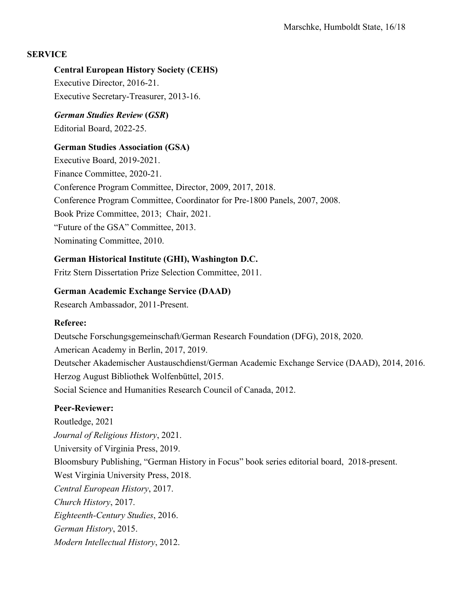# **SERVICE**

# **Central European History Society (CEHS)**

Executive Director, 2016-21. Executive Secretary-Treasurer, 2013-16.

# *German Studies Review* **(***GSR***)** Editorial Board, 2022-25.

# **German Studies Association (GSA)**

Executive Board, 2019-2021. Finance Committee, 2020-21. Conference Program Committee, Director, 2009, 2017, 2018. Conference Program Committee, Coordinator for Pre-1800 Panels, 2007, 2008. Book Prize Committee, 2013; Chair, 2021. "Future of the GSA" Committee, 2013. Nominating Committee, 2010.

# **German Historical Institute (GHI), Washington D.C.**

Fritz Stern Dissertation Prize Selection Committee, 2011.

# **German Academic Exchange Service (DAAD)**

Research Ambassador, 2011-Present.

### **Referee:**

Deutsche Forschungsgemeinschaft/German Research Foundation (DFG), 2018, 2020. American Academy in Berlin, 2017, 2019. Deutscher Akademischer Austauschdienst/German Academic Exchange Service (DAAD), 2014, 2016. Herzog August Bibliothek Wolfenbüttel, 2015. Social Science and Humanities Research Council of Canada, 2012.

# **Peer-Reviewer:**

Routledge, 2021 *Journal of Religious History*, 2021. University of Virginia Press, 2019. Bloomsbury Publishing, "German History in Focus" book series editorial board, 2018-present. West Virginia University Press, 2018. *Central European History*, 2017. *Church History*, 2017. *Eighteenth-Century Studies*, 2016. *German History*, 2015. *Modern Intellectual History*, 2012.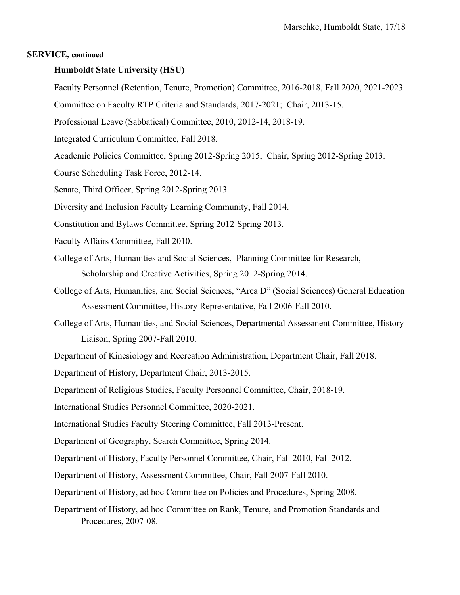#### **SERVICE, continued**

#### **Humboldt State University (HSU)**

- Faculty Personnel (Retention, Tenure, Promotion) Committee, 2016-2018, Fall 2020, 2021-2023.
- Committee on Faculty RTP Criteria and Standards, 2017-2021; Chair, 2013-15.
- Professional Leave (Sabbatical) Committee, 2010, 2012-14, 2018-19.
- Integrated Curriculum Committee, Fall 2018.
- Academic Policies Committee, Spring 2012-Spring 2015; Chair, Spring 2012-Spring 2013.
- Course Scheduling Task Force, 2012-14.
- Senate, Third Officer, Spring 2012-Spring 2013.
- Diversity and Inclusion Faculty Learning Community, Fall 2014.
- Constitution and Bylaws Committee, Spring 2012-Spring 2013.
- Faculty Affairs Committee, Fall 2010.
- College of Arts, Humanities and Social Sciences, Planning Committee for Research, Scholarship and Creative Activities, Spring 2012-Spring 2014.
- College of Arts, Humanities, and Social Sciences, "Area D" (Social Sciences) General Education Assessment Committee, History Representative, Fall 2006-Fall 2010.
- College of Arts, Humanities, and Social Sciences, Departmental Assessment Committee, History Liaison, Spring 2007-Fall 2010.

Department of Kinesiology and Recreation Administration, Department Chair, Fall 2018.

- Department of History, Department Chair, 2013-2015.
- Department of Religious Studies, Faculty Personnel Committee, Chair, 2018-19.
- International Studies Personnel Committee, 2020-2021.
- International Studies Faculty Steering Committee, Fall 2013-Present.
- Department of Geography, Search Committee, Spring 2014.
- Department of History, Faculty Personnel Committee, Chair, Fall 2010, Fall 2012.
- Department of History, Assessment Committee, Chair, Fall 2007-Fall 2010.
- Department of History, ad hoc Committee on Policies and Procedures, Spring 2008.
- Department of History, ad hoc Committee on Rank, Tenure, and Promotion Standards and Procedures, 2007-08.